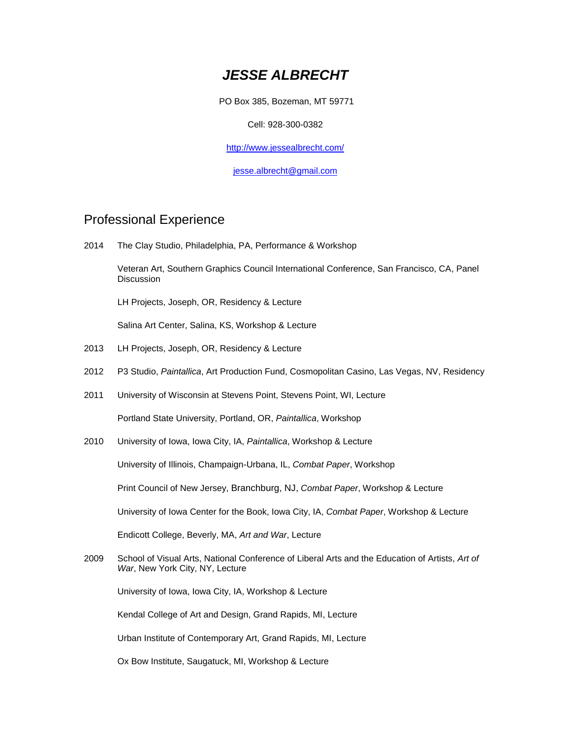# *JESSE ALBRECHT*

PO Box 385, Bozeman, MT 59771

Cell: 928-300-0382

<http://www.jessealbrecht.com/>

[jesse.albrecht@gmail.com](mailto:jesse.albrecht@gmail.com)

### Professional Experience

2014 The Clay Studio, Philadelphia, PA, Performance & Workshop

Veteran Art, Southern Graphics Council International Conference, San Francisco, CA, Panel **Discussion** 

LH Projects, Joseph, OR, Residency & Lecture

Salina Art Center, Salina, KS, Workshop & Lecture

- 2013 LH Projects, Joseph, OR, Residency & Lecture
- 2012 P3 Studio, *Paintallica*, Art Production Fund, Cosmopolitan Casino, Las Vegas, NV, Residency
- 2011 University of Wisconsin at Stevens Point, Stevens Point, WI, Lecture

Portland State University, Portland, OR, *Paintallica*, Workshop

2010 University of Iowa, Iowa City, IA, *Paintallica*, Workshop & Lecture

University of Illinois, Champaign-Urbana, IL, *Combat Paper*, Workshop

Print Council of New Jersey, Branchburg, NJ, *Combat Paper*, Workshop & Lecture

University of Iowa Center for the Book, Iowa City, IA, *Combat Paper*, Workshop & Lecture

Endicott College, Beverly, MA, *Art and War*, Lecture

2009 School of Visual Arts, National Conference of Liberal Arts and the Education of Artists, *Art of War*, New York City, NY, Lecture

University of Iowa, Iowa City, IA, Workshop & Lecture

Kendal College of Art and Design, Grand Rapids, MI, Lecture

Urban Institute of Contemporary Art, Grand Rapids, MI, Lecture

Ox Bow Institute, Saugatuck, MI, Workshop & Lecture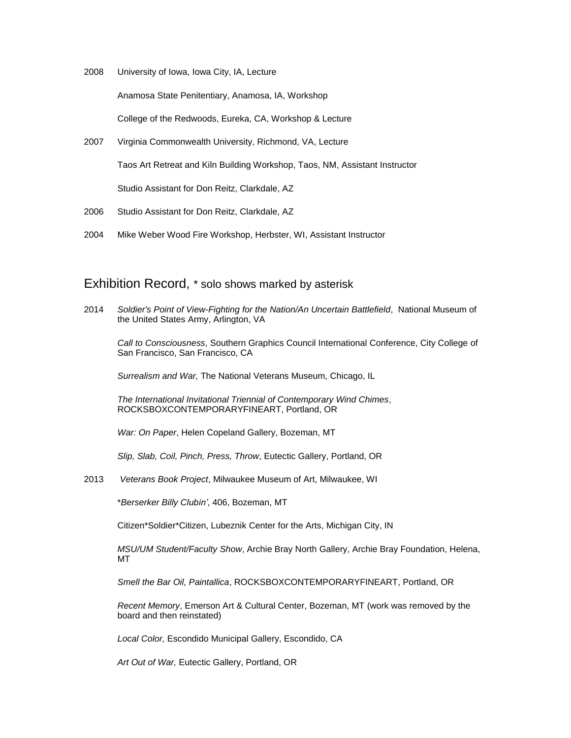2008 University of Iowa, Iowa City, IA, Lecture

Anamosa State Penitentiary, Anamosa, IA, Workshop

College of the Redwoods, Eureka, CA, Workshop & Lecture

- 2007 Virginia Commonwealth University, Richmond, VA, Lecture Taos Art Retreat and Kiln Building Workshop, Taos, NM, Assistant Instructor Studio Assistant for Don Reitz, Clarkdale, AZ
- 2006 Studio Assistant for Don Reitz, Clarkdale, AZ
- 2004 Mike Weber Wood Fire Workshop, Herbster, WI, Assistant Instructor

#### Exhibition Record, \* solo shows marked by asterisk

2014 *Soldier's Point of View-Fighting for the Nation/An Uncertain Battlefield*, National Museum of the United States Army, Arlington, VA

*Call to Consciousness*, Southern Graphics Council International Conference, City College of San Francisco, San Francisco, CA

*Surrealism and War,* The National Veterans Museum, Chicago, IL

*The International Invitational Triennial of Contemporary Wind Chimes*, ROCKSBOXCONTEMPORARYFINEART, Portland, OR

*War: On Paper*, Helen Copeland Gallery, Bozeman, MT

*Slip, Slab, Coil, Pinch, Press, Throw*, Eutectic Gallery, Portland, OR

2013 *Veterans Book Project*, Milwaukee Museum of Art, Milwaukee, WI

\**Berserker Billy Clubin'*, 406, Bozeman, MT

Citizen\*Soldier\*Citizen, Lubeznik Center for the Arts, Michigan City, IN

*MSU/UM Student/Faculty Show*, Archie Bray North Gallery, Archie Bray Foundation, Helena, MT

*Smell the Bar Oil, Paintallica*, ROCKSBOXCONTEMPORARYFINEART, Portland, OR

*Recent Memory*, Emerson Art & Cultural Center, Bozeman, MT (work was removed by the board and then reinstated)

*Local Color,* Escondido Municipal Gallery, Escondido, CA

*Art Out of War,* Eutectic Gallery, Portland, OR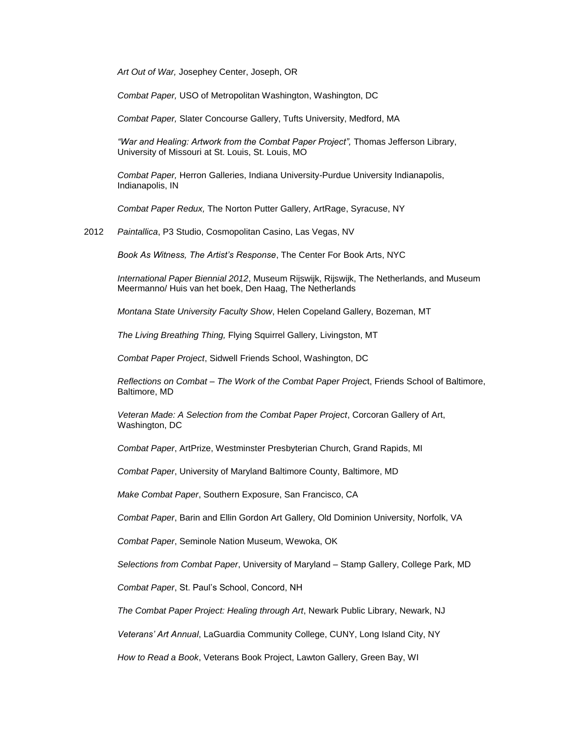*Art Out of War,* Josephey Center, Joseph, OR

*Combat Paper,* USO of Metropolitan Washington, Washington, DC

*Combat Paper,* Slater Concourse Gallery, Tufts University, Medford, MA

*"War and Healing: Artwork from the Combat Paper Project",* Thomas Jefferson Library, University of Missouri at St. Louis, St. Louis, MO

*Combat Paper,* Herron Galleries, Indiana University-Purdue University Indianapolis, Indianapolis, IN

*Combat Paper Redux,* The Norton Putter Gallery, ArtRage, Syracuse, NY

2012 *Paintallica*, P3 Studio, Cosmopolitan Casino, Las Vegas, NV

*Book As Witness, The Artist's Response*, The Center For Book Arts, NYC

*International Paper Biennial 2012*, Museum Rijswijk, Rijswijk, The Netherlands, and Museum Meermanno/ Huis van het boek, Den Haag, The Netherlands

*Montana State University Faculty Show*, Helen Copeland Gallery, Bozeman, MT

*The Living Breathing Thing,* Flying Squirrel Gallery, Livingston, MT

*Combat Paper Project*, Sidwell Friends School, Washington, DC

*Reflections on Combat – The Work of the Combat Paper Projec*t, Friends School of Baltimore, Baltimore, MD

*Veteran Made: A Selection from the Combat Paper Project*, Corcoran Gallery of Art, Washington, DC

*Combat Paper*, ArtPrize, Westminster Presbyterian Church, Grand Rapids, MI

*Combat Paper*, University of Maryland Baltimore County, Baltimore, MD

*Make Combat Paper*, Southern Exposure, San Francisco, CA

*Combat Paper*, Barin and Ellin Gordon Art Gallery, Old Dominion University, Norfolk, VA

*Combat Paper*, Seminole Nation Museum, Wewoka, OK

*Selections from Combat Paper*, University of Maryland – Stamp Gallery, College Park, MD

*Combat Paper*, St. Paul's School, Concord, NH

*The Combat Paper Project: Healing through Art*, Newark Public Library, Newark, NJ

*Veterans' Art Annual*, LaGuardia Community College, CUNY, Long Island City, NY

*How to Read a Book*, Veterans Book Project, Lawton Gallery, Green Bay, WI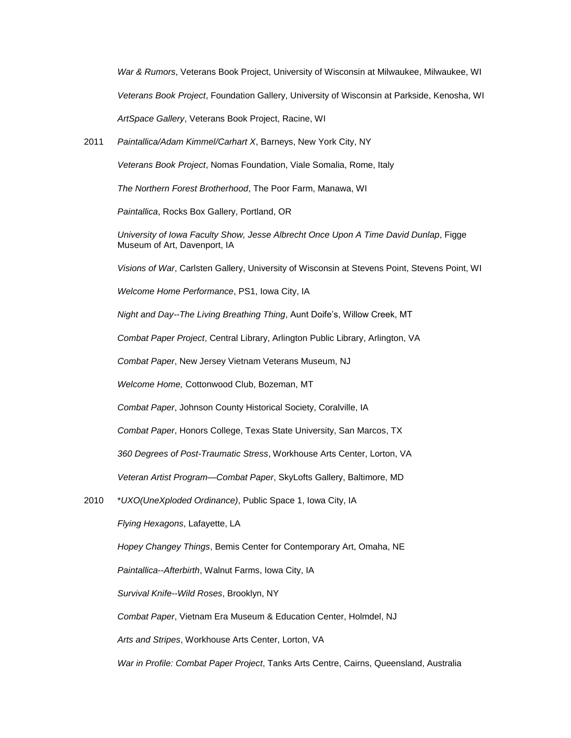*War & Rumors*, Veterans Book Project, University of Wisconsin at Milwaukee, Milwaukee, WI *Veterans Book Project*, Foundation Gallery, University of Wisconsin at Parkside, Kenosha, WI *ArtSpace Gallery*, Veterans Book Project, Racine, WI

2011 *Paintallica/Adam Kimmel/Carhart X*, Barneys, New York City, NY

*Veterans Book Project*, Nomas Foundation, Viale Somalia, Rome, Italy

*The Northern Forest Brotherhood*, The Poor Farm, Manawa, WI

*Paintallica*, Rocks Box Gallery, Portland, OR

*University of Iowa Faculty Show, Jesse Albrecht Once Upon A Time David Dunlap*, Figge Museum of Art, Davenport, IA

*Visions of War*, Carlsten Gallery, University of Wisconsin at Stevens Point, Stevens Point, WI

*Welcome Home Performance*, PS1, Iowa City, IA

*Night and Day--The Living Breathing Thing*, Aunt Doife's, Willow Creek, MT

*Combat Paper Project*, Central Library, Arlington Public Library, Arlington, VA

*Combat Paper*, New Jersey Vietnam Veterans Museum, NJ

*Welcome Home,* Cottonwood Club, Bozeman, MT

*Combat Paper*, Johnson County Historical Society, Coralville, IA

*Combat Paper*, Honors College, Texas State University, San Marcos, TX

*360 Degrees of Post-Traumatic Stress*, Workhouse Arts Center, Lorton, VA

*Veteran Artist Program—Combat Paper*, SkyLofts Gallery, Baltimore, MD

2010 \**UXO(UneXploded Ordinance)*, Public Space 1, Iowa City, IA

*Flying Hexagons*, Lafayette, LA

*Hopey Changey Things*, Bemis Center for Contemporary Art, Omaha, NE

*Paintallica*--*Afterbirth*, Walnut Farms, Iowa City, IA

*Survival Knife*--*Wild Roses*, Brooklyn, NY

*Combat Paper*, Vietnam Era Museum & Education Center, Holmdel, NJ

*Arts and Stripes*, Workhouse Arts Center, Lorton, VA

*War in Profile: Combat Paper Project*, Tanks Arts Centre, Cairns, Queensland, Australia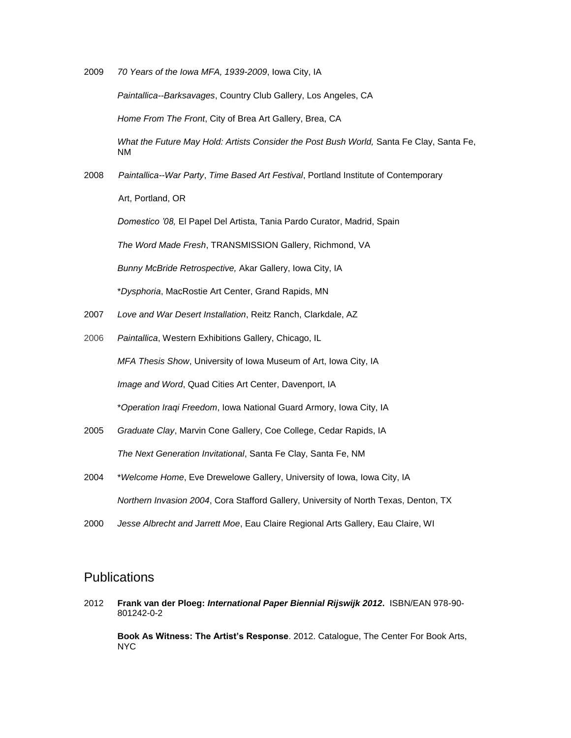2009 *70 Years of the Iowa MFA, 1939-2009*, Iowa City, IA

*Paintallica--Barksavages*, Country Club Gallery, Los Angeles, CA

*Home From The Front*, City of Brea Art Gallery, Brea, CA

*What the Future May Hold: Artists Consider the Post Bush World,* Santa Fe Clay, Santa Fe, NM

2008 *Paintallica--War Party*, *Time Based Art Festival*, Portland Institute of Contemporary Art, Portland, OR

*Domestico '08,* El Papel Del Artista, Tania Pardo Curator, Madrid, Spain

*The Word Made Fresh*, TRANSMISSION Gallery, Richmond, VA

*Bunny McBride Retrospective,* Akar Gallery, Iowa City, IA

\**Dysphoria*, MacRostie Art Center, Grand Rapids, MN

- 2007 *Love and War Desert Installation*, Reitz Ranch, Clarkdale, AZ
- 2006 *Paintallica*, Western Exhibitions Gallery, Chicago, IL

*MFA Thesis Show*, University of Iowa Museum of Art, Iowa City, IA

*Image and Word*, Quad Cities Art Center, Davenport, IA

\**Operation Iraqi Freedom*, Iowa National Guard Armory, Iowa City, IA

- 2005 *Graduate Clay*, Marvin Cone Gallery, Coe College, Cedar Rapids, IA *The Next Generation Invitational*, Santa Fe Clay, Santa Fe, NM
- 2004 \**Welcome Home*, Eve Drewelowe Gallery, University of Iowa, Iowa City, IA *Northern Invasion 2004*, Cora Stafford Gallery, University of North Texas, Denton, TX
- 2000 *Jesse Albrecht and Jarrett Moe*, Eau Claire Regional Arts Gallery, Eau Claire, WI

### **Publications**

2012 **Frank van der Ploeg:** *International Paper Biennial Rijswijk 2012***.** ISBN/EAN 978-90- 801242-0-2

**Book As Witness: The Artist's Response**. 2012. Catalogue, The Center For Book Arts, NYC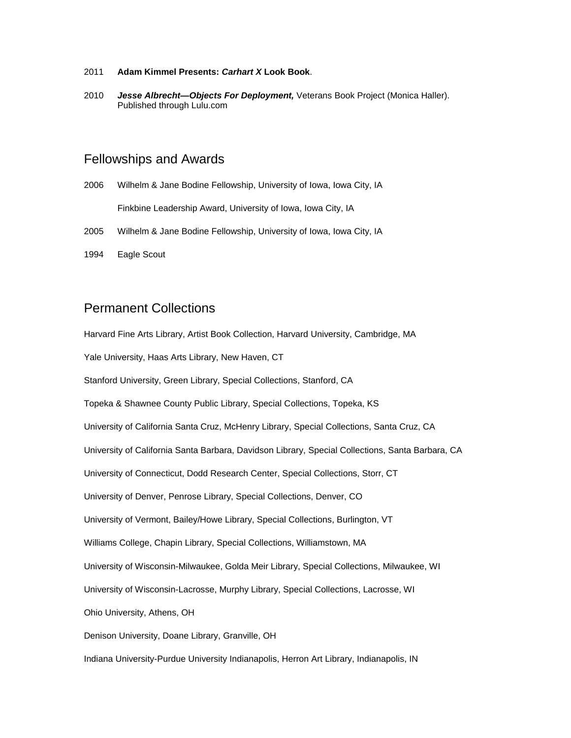- 2011 **Adam Kimmel Presents:** *Carhart X* **Look Book**.
- 2010 *Jesse Albrecht—Objects For Deployment,* Veterans Book Project (Monica Haller). Published through Lulu.com

#### Fellowships and Awards

- 2006 Wilhelm & Jane Bodine Fellowship, University of Iowa, Iowa City, IA Finkbine Leadership Award, University of Iowa, Iowa City, IA
- 2005 Wilhelm & Jane Bodine Fellowship, University of Iowa, Iowa City, IA
- 1994 Eagle Scout

### Permanent Collections

Harvard Fine Arts Library, Artist Book Collection, Harvard University, Cambridge, MA Yale University, Haas Arts Library, New Haven, CT Stanford University, Green Library, Special Collections, Stanford, CA Topeka & Shawnee County Public Library, Special Collections, Topeka, KS University of California Santa Cruz, McHenry Library, Special Collections, Santa Cruz, CA University of California Santa Barbara, Davidson Library, Special Collections, Santa Barbara, CA University of Connecticut, Dodd Research Center, Special Collections, Storr, CT University of Denver, Penrose Library, Special Collections, Denver, CO University of Vermont, Bailey/Howe Library, Special Collections, Burlington, VT Williams College, Chapin Library, Special Collections, Williamstown, MA University of Wisconsin-Milwaukee, Golda Meir Library, Special Collections, Milwaukee, WI University of Wisconsin-Lacrosse, Murphy Library, Special Collections, Lacrosse, WI Ohio University, Athens, OH Denison University, Doane Library, Granville, OH Indiana University-Purdue University Indianapolis, Herron Art Library, Indianapolis, IN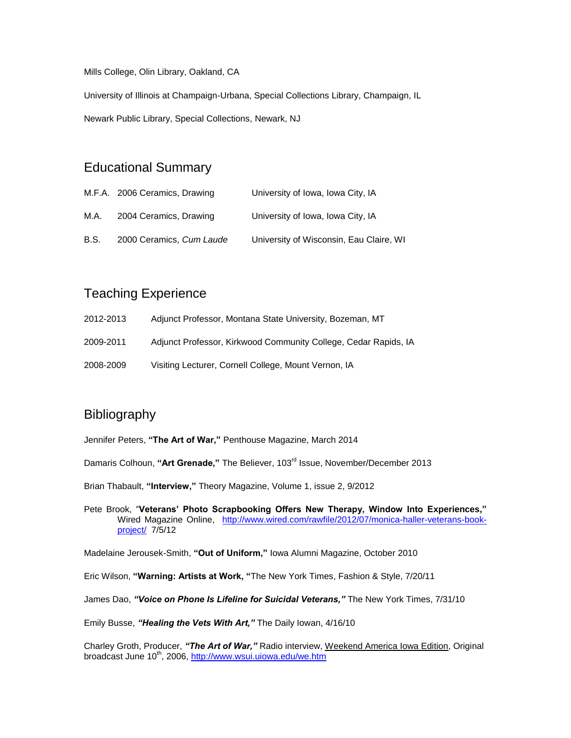Mills College, Olin Library, Oakland, CA

University of Illinois at Champaign-Urbana, Special Collections Library, Champaign, IL Newark Public Library, Special Collections, Newark, NJ

## Educational Summary

|      | M.F.A. 2006 Ceramics, Drawing | University of Iowa, Iowa City, IA       |
|------|-------------------------------|-----------------------------------------|
| M.A. | 2004 Ceramics, Drawing        | University of Iowa, Iowa City, IA       |
| B.S. | 2000 Ceramics, Cum Laude      | University of Wisconsin, Eau Claire, WI |

# Teaching Experience

- 2012-2013 Adjunct Professor, Montana State University, Bozeman, MT
- 2009-2011 Adjunct Professor, Kirkwood Community College, Cedar Rapids, IA
- 2008-2009 Visiting Lecturer, Cornell College, Mount Vernon, IA

# **Bibliography**

Jennifer Peters, **"The Art of War,"** Penthouse Magazine, March 2014

- Damaris Colhoun, **"Art Grenade,"** The Believer, 103rd Issue, November/December 2013
- Brian Thabault, **"Interview,"** Theory Magazine, Volume 1, issue 2, 9/2012
- Pete Brook, "**Veterans' Photo Scrapbooking Offers New Therapy, Window Into Experiences,"**  Wired Magazine Online, [http://www.wired.com/rawfile/2012/07/monica-haller-veterans-book](http://www.wired.com/rawfile/2012/07/monica-haller-veterans-book-project/)[project/](http://www.wired.com/rawfile/2012/07/monica-haller-veterans-book-project/) 7/5/12

Madelaine Jerousek-Smith, **"Out of Uniform,"** Iowa Alumni Magazine, October 2010

Eric Wilson, **"Warning: Artists at Work, "**The New York Times, Fashion & Style, 7/20/11

James Dao, *"Voice on Phone Is Lifeline for Suicidal Veterans,"* The New York Times, 7/31/10

Emily Busse, *"Healing the Vets With Art,"* The Daily Iowan, 4/16/10

Charley Groth, Producer, *"The Art of War,"* Radio interview, Weekend America Iowa Edition, Original broadcast June 10<sup>th</sup>, 2006, <http://www.wsui.uiowa.edu/we.htm>